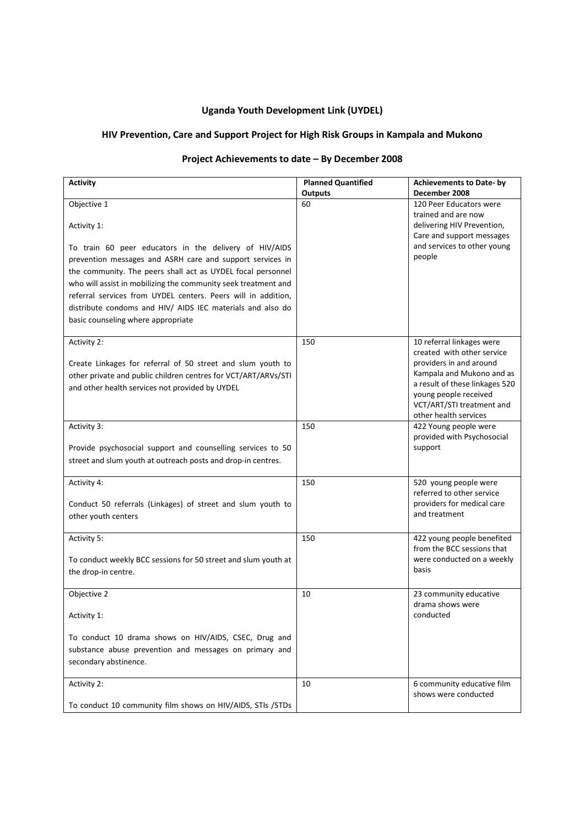## **Uganda Youth Development Link (UYDEL)**

## **HIV Prevention, Care and Support Project for High Risk Groups in Kampala and Mukono**

# **Project Achievements to date – By December 2008**

| <b>Activity</b>                                                | <b>Planned Quantified</b> | <b>Achievements to Date- by</b>                         |
|----------------------------------------------------------------|---------------------------|---------------------------------------------------------|
| Objective 1                                                    | <b>Outputs</b><br>60      | December 2008<br>120 Peer Educators were                |
|                                                                |                           | trained and are now                                     |
| Activity 1:                                                    |                           | delivering HIV Prevention,                              |
|                                                                |                           | Care and support messages                               |
| To train 60 peer educators in the delivery of HIV/AIDS         |                           | and services to other young                             |
| prevention messages and ASRH care and support services in      |                           | people                                                  |
| the community. The peers shall act as UYDEL focal personnel    |                           |                                                         |
| who will assist in mobilizing the community seek treatment and |                           |                                                         |
| referral services from UYDEL centers. Peers will in addition,  |                           |                                                         |
| distribute condoms and HIV/ AIDS IEC materials and also do     |                           |                                                         |
| basic counseling where appropriate                             |                           |                                                         |
|                                                                |                           |                                                         |
| Activity 2:                                                    | 150                       | 10 referral linkages were<br>created with other service |
| Create Linkages for referral of 50 street and slum youth to    |                           | providers in and around                                 |
| other private and public children centres for VCT/ART/ARVs/STI |                           | Kampala and Mukono and as                               |
| and other health services not provided by UYDEL                |                           | a result of these linkages 520                          |
|                                                                |                           | young people received                                   |
|                                                                |                           | VCT/ART/STI treatment and                               |
|                                                                |                           | other health services                                   |
| Activity 3:                                                    | 150                       | 422 Young people were<br>provided with Psychosocial     |
| Provide psychosocial support and counselling services to 50    |                           | support                                                 |
| street and slum youth at outreach posts and drop-in centres.   |                           |                                                         |
|                                                                |                           |                                                         |
| Activity 4:                                                    | 150                       | 520 young people were                                   |
|                                                                |                           | referred to other service                               |
| Conduct 50 referrals (Linkages) of street and slum youth to    |                           | providers for medical care                              |
| other youth centers                                            |                           | and treatment                                           |
|                                                                | 150                       | 422 young people benefited                              |
| Activity 5:                                                    |                           | from the BCC sessions that                              |
| To conduct weekly BCC sessions for 50 street and slum youth at |                           | were conducted on a weekly                              |
| the drop-in centre.                                            |                           | basis                                                   |
|                                                                |                           |                                                         |
| Objective 2                                                    | 10                        | 23 community educative                                  |
|                                                                |                           | drama shows were                                        |
| Activity 1:                                                    |                           | conducted                                               |
|                                                                |                           |                                                         |
| To conduct 10 drama shows on HIV/AIDS, CSEC, Drug and          |                           |                                                         |
| substance abuse prevention and messages on primary and         |                           |                                                         |
| secondary abstinence.                                          |                           |                                                         |
| Activity 2:                                                    | 10                        | 6 community educative film                              |
|                                                                |                           | shows were conducted                                    |
| To conduct 10 community film shows on HIV/AIDS, STIs /STDs     |                           |                                                         |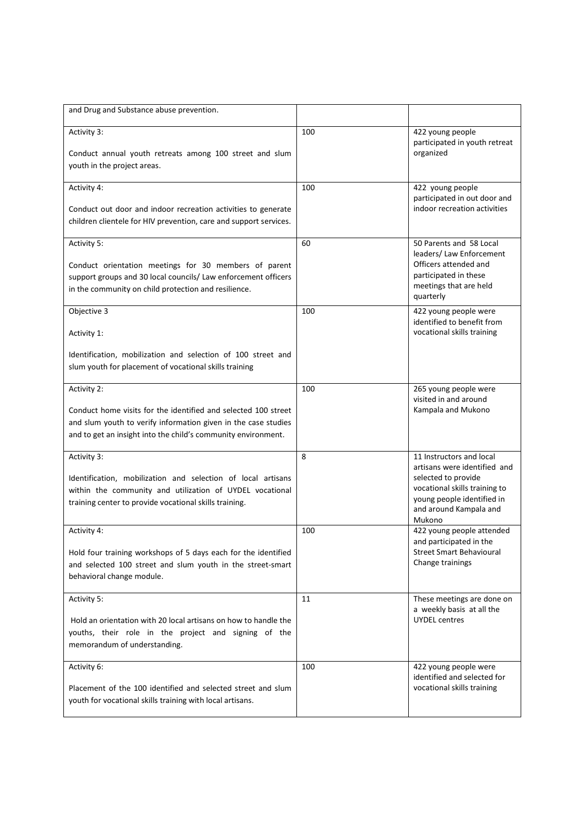| and Drug and Substance abuse prevention.                                                                                                                                                                         |     |                                                                                                                                                                                    |
|------------------------------------------------------------------------------------------------------------------------------------------------------------------------------------------------------------------|-----|------------------------------------------------------------------------------------------------------------------------------------------------------------------------------------|
| Activity 3:<br>Conduct annual youth retreats among 100 street and slum<br>youth in the project areas.                                                                                                            | 100 | 422 young people<br>participated in youth retreat<br>organized                                                                                                                     |
| Activity 4:<br>Conduct out door and indoor recreation activities to generate<br>children clientele for HIV prevention, care and support services.                                                                | 100 | 422 young people<br>participated in out door and<br>indoor recreation activities                                                                                                   |
| Activity 5:<br>Conduct orientation meetings for 30 members of parent<br>support groups and 30 local councils/ Law enforcement officers<br>in the community on child protection and resilience.                   | 60  | 50 Parents and 58 Local<br>leaders/ Law Enforcement<br>Officers attended and<br>participated in these<br>meetings that are held<br>quarterly                                       |
| Objective 3<br>Activity 1:<br>Identification, mobilization and selection of 100 street and<br>slum youth for placement of vocational skills training                                                             | 100 | 422 young people were<br>identified to benefit from<br>vocational skills training                                                                                                  |
| Activity 2:<br>Conduct home visits for the identified and selected 100 street<br>and slum youth to verify information given in the case studies<br>and to get an insight into the child's community environment. | 100 | 265 young people were<br>visited in and around<br>Kampala and Mukono                                                                                                               |
| Activity 3:<br>Identification, mobilization and selection of local artisans<br>within the community and utilization of UYDEL vocational<br>training center to provide vocational skills training.                | 8   | 11 Instructors and local<br>artisans were identified and<br>selected to provide<br>vocational skills training to<br>young people identified in<br>and around Kampala and<br>Mukono |
| Activity 4:<br>Hold four training workshops of 5 days each for the identified<br>and selected 100 street and slum youth in the street-smart<br>behavioral change module.                                         | 100 | 422 young people attended<br>and participated in the<br><b>Street Smart Behavioural</b><br>Change trainings                                                                        |
| Activity 5:<br>Hold an orientation with 20 local artisans on how to handle the<br>youths, their role in the project and signing of the<br>memorandum of understanding.                                           | 11  | These meetings are done on<br>a weekly basis at all the<br><b>UYDEL</b> centres                                                                                                    |
| Activity 6:<br>Placement of the 100 identified and selected street and slum<br>youth for vocational skills training with local artisans.                                                                         | 100 | 422 young people were<br>identified and selected for<br>vocational skills training                                                                                                 |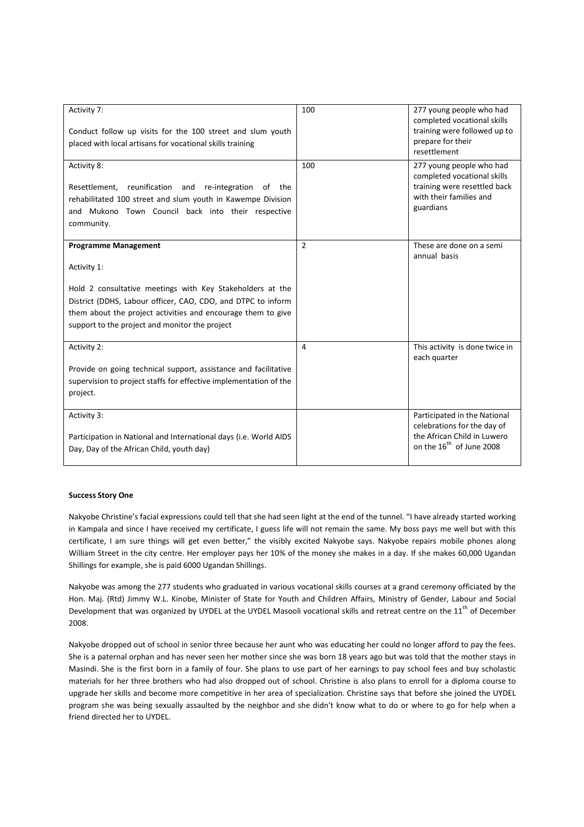| Activity 7:<br>Conduct follow up visits for the 100 street and slum youth<br>placed with local artisans for vocational skills training                                                                                                                                                    | 100            | 277 young people who had<br>completed vocational skills<br>training were followed up to<br>prepare for their<br>resettlement       |
|-------------------------------------------------------------------------------------------------------------------------------------------------------------------------------------------------------------------------------------------------------------------------------------------|----------------|------------------------------------------------------------------------------------------------------------------------------------|
| Activity 8:<br>Resettlement, reunification and re-integration of the<br>rehabilitated 100 street and slum youth in Kawempe Division<br>and Mukono Town Council back into their respective<br>community.                                                                                   | 100            | 277 young people who had<br>completed vocational skills<br>training were resettled back<br>with their families and<br>guardians    |
| <b>Programme Management</b><br>Activity 1:<br>Hold 2 consultative meetings with Key Stakeholders at the<br>District (DDHS, Labour officer, CAO, CDO, and DTPC to inform<br>them about the project activities and encourage them to give<br>support to the project and monitor the project | $\overline{2}$ | These are done on a semi<br>annual basis                                                                                           |
| Activity 2:<br>Provide on going technical support, assistance and facilitative<br>supervision to project staffs for effective implementation of the<br>project.                                                                                                                           | 4              | This activity is done twice in<br>each quarter                                                                                     |
| Activity 3:<br>Participation in National and International days (i.e. World AIDS<br>Day, Day of the African Child, youth day)                                                                                                                                                             |                | Participated in the National<br>celebrations for the day of<br>the African Child in Luwero<br>on the 16 <sup>th</sup> of June 2008 |

### **Success Story One**

Nakyobe Christine's facial expressions could tell that she had seen light at the end of the tunnel. "I have already started working in Kampala and since I have received my certificate, I guess life will not remain the same. My boss pays me well but with this certificate, I am sure things will get even better," the visibly excited Nakyobe says. Nakyobe repairs mobile phones along William Street in the city centre. Her employer pays her 10% of the money she makes in a day. If she makes 60,000 Ugandan Shillings for example, she is paid 6000 Ugandan Shillings.

Nakyobe was among the 277 students who graduated in various vocational skills courses at a grand ceremony officiated by the Hon. Maj. (Rtd) Jimmy W.L. Kinobe, Minister of State for Youth and Children Affairs, Ministry of Gender, Labour and Social Development that was organized by UYDEL at the UYDEL Masooli vocational skills and retreat centre on the 11<sup>th</sup> of December 2008.

Nakyobe dropped out of school in senior three because her aunt who was educating her could no longer afford to pay the fees. She is a paternal orphan and has never seen her mother since she was born 18 years ago but was told that the mother stays in Masindi. She is the first born in a family of four. She plans to use part of her earnings to pay school fees and buy scholastic materials for her three brothers who had also dropped out of school. Christine is also plans to enroll for a diploma course to upgrade her skills and become more competitive in her area of specialization. Christine says that before she joined the UYDEL program she was being sexually assaulted by the neighbor and she didn't know what to do or where to go for help when a friend directed her to UYDEL.